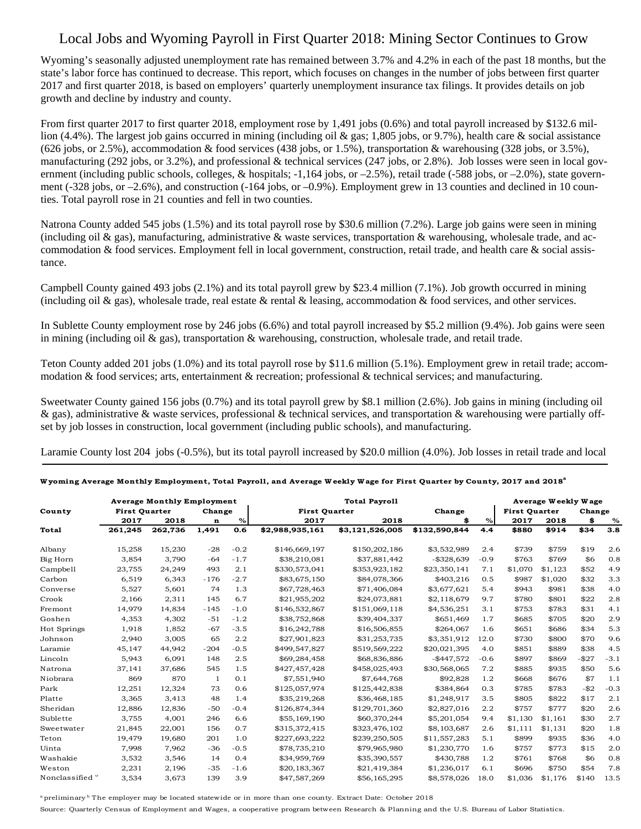## Local Jobs and Wyoming Payroll in First Quarter 2018: Mining Sector Continues to Grow

Wyoming's seasonally adjusted unemployment rate has remained between 3.7% and 4.2% in each of the past 18 months, but the state's labor force has continued to decrease. This report, which focuses on changes in the number of jobs between first quarter 2017 and first quarter 2018, is based on employers' quarterly unemployment insurance tax filings. It provides details on job growth and decline by industry and county.

From first quarter 2017 to first quarter 2018, employment rose by 1,491 jobs (0.6%) and total payroll increased by \$132.6 million (4.4%). The largest job gains occurred in mining (including oil & gas; 1,805 jobs, or 9.7%), health care & social assistance  $(626 \text{ jobs}, \text{or } 2.5\%)$ , accommodation & food services  $(438 \text{ jobs}, \text{or } 1.5\%)$ , transportation & warehousing  $(328 \text{ jobs}, \text{or } 3.5\%)$ , manufacturing (292 jobs, or 3.2%), and professional & technical services (247 jobs, or 2.8%). Job losses were seen in local government (including public schools, colleges, & hospitals;  $-1,164$  jobs, or  $-2.5\%$ ), retail trade ( $-588$  jobs, or  $-2.0\%$ ), state government (-328 jobs, or –2.6%), and construction (-164 jobs, or –0.9%). Employment grew in 13 counties and declined in 10 counties. Total payroll rose in 21 counties and fell in two counties.

Natrona County added 545 jobs (1.5%) and its total payroll rose by \$30.6 million (7.2%). Large job gains were seen in mining (including oil  $\&$  gas), manufacturing, administrative  $\&$  waste services, transportation  $\&$  warehousing, wholesale trade, and accommodation  $\&$  food services. Employment fell in local government, construction, retail trade, and health care  $\&$  social assistance.

Campbell County gained 493 jobs (2.1%) and its total payroll grew by \$23.4 million (7.1%). Job growth occurred in mining (including oil  $\&$  gas), wholesale trade, real estate  $\&$  rental  $\&$  leasing, accommodation  $\&$  food services, and other services.

In Sublette County employment rose by 246 jobs (6.6%) and total payroll increased by \$5.2 million (9.4%). Job gains were seen in mining (including oil & gas), transportation & warehousing, construction, wholesale trade, and retail trade.

Teton County added 201 jobs (1.0%) and its total payroll rose by \$11.6 million (5.1%). Employment grew in retail trade; accommodation & food services; arts, entertainment & recreation; professional & technical services; and manufacturing.

Sweetwater County gained 156 jobs (0.7%) and its total payroll grew by \$8.1 million (2.6%). Job gains in mining (including oil  $\&$  gas), administrative  $\&$  waste services, professional  $\&$  technical services, and transportation  $\&$  warehousing were partially offset by job losses in construction, local government (including public schools), and manufacturing.

Laramie County lost 204 jobs (-0.5%), but its total payroll increased by \$20.0 million (4.0%). Job losses in retail trade and local

| County                     | <b>Average Monthly Employment</b> |         |        |        | <b>Total Payroll</b> |                 |               |        |                      | Average Weekly Wage |          |        |
|----------------------------|-----------------------------------|---------|--------|--------|----------------------|-----------------|---------------|--------|----------------------|---------------------|----------|--------|
|                            | <b>First Quarter</b>              |         | Change |        | <b>First Quarter</b> |                 | Change        |        | <b>First Quarter</b> |                     | Change   |        |
|                            | 2017                              | 2018    | n      | $\%$   | 2017                 | 2018            | \$            | $\%$   | 2017                 | 2018                | \$       | $\%$   |
| <b>Total</b>               | 261,245                           | 262,736 | 1,491  | 0.6    | \$2,988,935,161      | \$3,121,526,005 | \$132,590,844 | 4.4    | \$880                | \$914               | \$34     | 3.8    |
| Albany                     | 15,258                            | 15,230  | $-28$  | $-0.2$ | \$146,669,197        | \$150,202,186   | \$3,532,989   | 2.4    | \$739                | \$759               | \$19     | 2.6    |
| Big Horn                   | 3,854                             | 3,790   | $-64$  | $-1.7$ | \$38,210,081         | \$37,881,442    | $-$ \$328,639 | $-0.9$ | \$763                | \$769               | \$6      | 0.8    |
| Campbell                   | 23,755                            | 24,249  | 493    | 2.1    | \$330,573,041        | \$353,923,182   | \$23,350,141  | 7.1    | \$1,070              | \$1,123             | \$52     | 4.9    |
| Carbon                     | 6.519                             | 6.343   | $-176$ | $-2.7$ | \$83,675,150         | \$84,078,366    | \$403.216     | 0.5    | \$987                | \$1,020             | \$32     | 3.3    |
| Converse                   | 5,527                             | 5,601   | 74     | 1.3    | \$67,728,463         | \$71,406,084    | \$3,677,621   | 5.4    | \$943                | \$981               | \$38     | 4.0    |
| Crook                      | 2,166                             | 2,311   | 145    | 6.7    | \$21,955,202         | \$24,073,881    | \$2,118,679   | 9.7    | \$780                | \$801               | \$22     | 2.8    |
| Fremont                    | 14,979                            | 14,834  | $-145$ | $-1.0$ | \$146,532,867        | \$151,069,118   | \$4,536,251   | 3.1    | \$753                | \$783               | \$31     | 4.1    |
| Goshen                     | 4,353                             | 4,302   | $-51$  | $-1.2$ | \$38,752,868         | \$39,404,337    | \$651,469     | 1.7    | \$685                | \$705               | \$20     | 2.9    |
| Hot Springs                | 1,918                             | 1,852   | $-67$  | $-3.5$ | \$16,242,788         | \$16,506,855    | \$264,067     | 1.6    | \$651                | \$686               | \$34     | 5.3    |
| Johnson                    | 2,940                             | 3,005   | 65     | 2.2    | \$27,901,823         | \$31,253,735    | \$3,351,912   | 12.0   | \$730                | \$800               | \$70     | 9.6    |
| Laramie                    | 45,147                            | 44,942  | $-204$ | $-0.5$ | \$499,547,827        | \$519,569,222   | \$20,021,395  | 4.0    | \$851                | \$889               | \$38     | 4.5    |
| Lincoln                    | 5,943                             | 6.091   | 148    | 2.5    | \$69,284,458         | \$68,836,886    | $-$ \$447.572 | $-0.6$ | \$897                | \$869               | $-$ \$27 | $-3.1$ |
| Natrona                    | 37,141                            | 37,686  | 545    | 1.5    | \$427,457,428        | \$458,025,493   | \$30,568,065  | 7.2    | \$885                | \$935               | \$50     | 5.6    |
| Niobrara                   | 869                               | 870     | -1     | 0.1    | \$7,551,940          | \$7,644,768     | \$92,828      | 1.2    | \$668                | \$676               | \$7      | 1.1    |
| Park                       | 12,251                            | 12,324  | 73     | 0.6    | \$125,057,974        | \$125,442,838   | \$384,864     | 0.3    | \$785                | \$783               | $-$ \$2  | $-0.3$ |
| Platte                     | 3,365                             | 3,413   | 48     | 1.4    | \$35,219,268         | \$36,468,185    | \$1,248,917   | 3.5    | \$805                | \$822               | \$17     | 2.1    |
| Sheridan                   | 12,886                            | 12,836  | $-50$  | $-0.4$ | \$126,874,344        | \$129,701,360   | \$2,827,016   | 2.2    | \$757                | \$777               | \$20     | 2.6    |
| Sublette                   | 3,755                             | 4,001   | 246    | 6.6    | \$55,169,190         | \$60,370,244    | \$5,201,054   | 9.4    | \$1,130              | \$1.161             | \$30     | 2.7    |
| Sweetwater                 | 21,845                            | 22,001  | 156    | 0.7    | \$315,372,415        | \$323,476,102   | \$8,103,687   | 2.6    | \$1,111              | \$1,131             | \$20     | 1.8    |
| Teton                      | 19,479                            | 19,680  | 201    | 1.0    | \$227,693,222        | \$239,250,505   | \$11,557,283  | 5.1    | \$899                | \$935               | \$36     | 4.0    |
| Uinta                      | 7,998                             | 7,962   | $-36$  | $-0.5$ | \$78,735,210         | \$79,965,980    | \$1,230,770   | 1.6    | \$757                | \$773               | \$15     | 2.0    |
| Washakie                   | 3.532                             | 3,546   | 14     | 0.4    | \$34,959,769         | \$35,390,557    | \$430,788     | 1.2    | \$761                | \$768               | \$6      | 0.8    |
| Weston                     | 2,231                             | 2,196   | $-35$  | $-1.6$ | \$20,183,367         | \$21,419,384    | \$1,236,017   | 6.1    | \$696                | \$750               | \$54     | 7.8    |
| Nonclassified <sup>"</sup> | 3,534                             | 3,673   | 139    | 3.9    | \$47,587,269         | \$56,165,295    | \$8,578,026   | 18.0   | \$1,036              | \$1,176             | \$140    | 13.5   |

## **W yoming Average Monthly Employment, Total Payroll, and Average W eekly W age for First Quarter by County, 2017 and 2018<sup>a</sup>**

a preliminary <sup>b</sup> The employer may be located statewide or in more than one county. Extract Date: October 2018

Source: Quarterly Census of Employment and Wages, a cooperative program between Research & Planning and the U.S. Bureau of Labor Statistics.